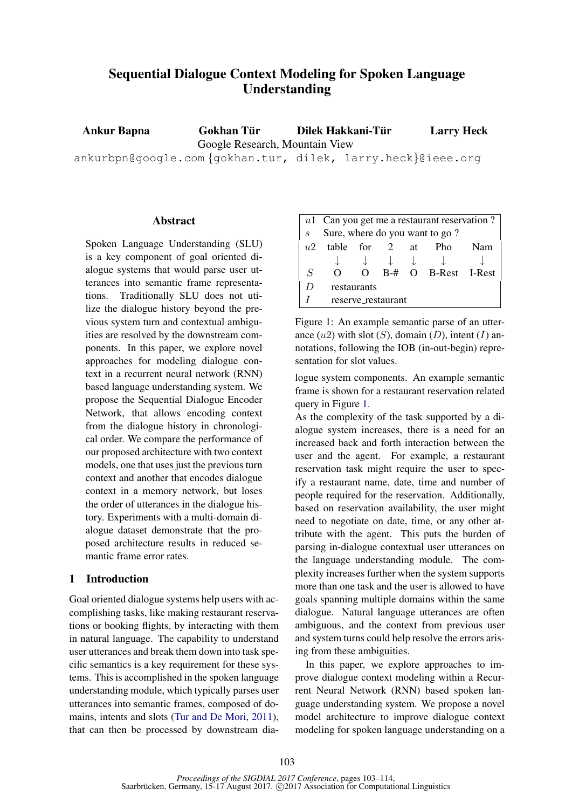# Sequential Dialogue Context Modeling for Spoken Language Understanding

Ankur Bapna Gokhan Tür Google Research, Mountain View Dilek Hakkani-Tür Larry Heck

ankurbpn@google.com {gokhan.tur, dilek, larry.heck}@ieee.org

### **Abstract**

Spoken Language Understanding (SLU) is a key component of goal oriented dialogue systems that would parse user utterances into semantic frame representations. Traditionally SLU does not utilize the dialogue history beyond the previous system turn and contextual ambiguities are resolved by the downstream components. In this paper, we explore novel approaches for modeling dialogue context in a recurrent neural network (RNN) based language understanding system. We propose the Sequential Dialogue Encoder Network, that allows encoding context from the dialogue history in chronological order. We compare the performance of our proposed architecture with two context models, one that uses just the previous turn context and another that encodes dialogue context in a memory network, but loses the order of utterances in the dialogue history. Experiments with a multi-domain dialogue dataset demonstrate that the proposed architecture results in reduced semantic frame error rates.

#### 1 Introduction

Goal oriented dialogue systems help users with accomplishing tasks, like making restaurant reservations or booking flights, by interacting with them in natural language. The capability to understand user utterances and break them down into task specific semantics is a key requirement for these systems. This is accomplished in the spoken language understanding module, which typically parses user utterances into semantic frames, composed of domains, intents and slots (Tur and De Mori, 2011), that can then be processed by downstream dia-

|                | $u1$ Can you get me a restaurant reservation? |          |  |  |                     |     |
|----------------|-----------------------------------------------|----------|--|--|---------------------|-----|
| $\mathcal{S}$  | Sure, where do you want to go?                |          |  |  |                     |     |
| u2             | table for 2 at                                |          |  |  | - Pho               | Nam |
|                |                                               |          |  |  |                     |     |
| $\overline{S}$ | $\Omega$                                      | $\Omega$ |  |  | B-# O B-Rest I-Rest |     |
| D              | restaurants                                   |          |  |  |                     |     |
|                | reserve_restaurant                            |          |  |  |                     |     |

Figure 1: An example semantic parse of an utterance  $(u2)$  with slot  $(S)$ , domain  $(D)$ , intent  $(I)$  annotations, following the IOB (in-out-begin) representation for slot values.

logue system components. An example semantic frame is shown for a restaurant reservation related query in Figure 1.

As the complexity of the task supported by a dialogue system increases, there is a need for an increased back and forth interaction between the user and the agent. For example, a restaurant reservation task might require the user to specify a restaurant name, date, time and number of people required for the reservation. Additionally, based on reservation availability, the user might need to negotiate on date, time, or any other attribute with the agent. This puts the burden of parsing in-dialogue contextual user utterances on the language understanding module. The complexity increases further when the system supports more than one task and the user is allowed to have goals spanning multiple domains within the same dialogue. Natural language utterances are often ambiguous, and the context from previous user and system turns could help resolve the errors arising from these ambiguities.

In this paper, we explore approaches to improve dialogue context modeling within a Recurrent Neural Network (RNN) based spoken language understanding system. We propose a novel model architecture to improve dialogue context modeling for spoken language understanding on a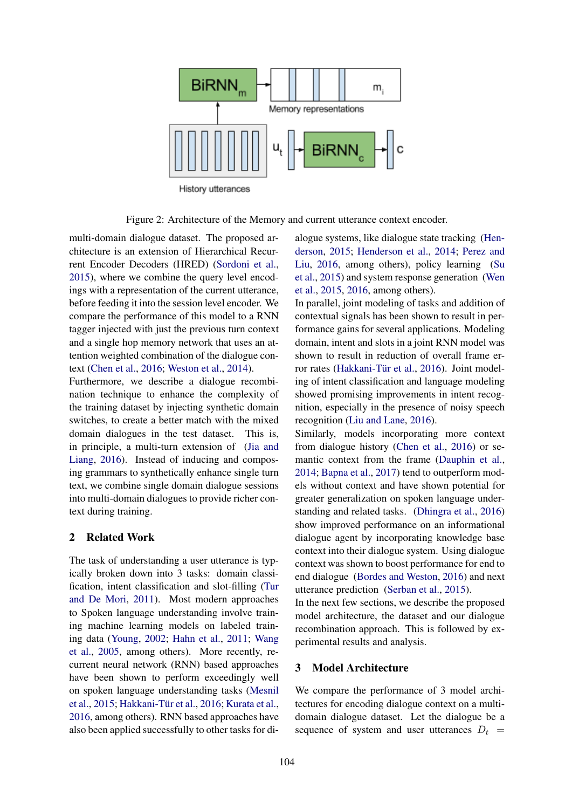

Figure 2: Architecture of the Memory and current utterance context encoder.

multi-domain dialogue dataset. The proposed architecture is an extension of Hierarchical Recurrent Encoder Decoders (HRED) (Sordoni et al., 2015), where we combine the query level encodings with a representation of the current utterance, before feeding it into the session level encoder. We compare the performance of this model to a RNN tagger injected with just the previous turn context and a single hop memory network that uses an attention weighted combination of the dialogue context (Chen et al., 2016; Weston et al., 2014).

Furthermore, we describe a dialogue recombination technique to enhance the complexity of the training dataset by injecting synthetic domain switches, to create a better match with the mixed domain dialogues in the test dataset. This is, in principle, a multi-turn extension of (Jia and Liang, 2016). Instead of inducing and composing grammars to synthetically enhance single turn text, we combine single domain dialogue sessions into multi-domain dialogues to provide richer context during training.

#### 2 Related Work

The task of understanding a user utterance is typically broken down into 3 tasks: domain classification, intent classification and slot-filling (Tur and De Mori, 2011). Most modern approaches to Spoken language understanding involve training machine learning models on labeled training data (Young, 2002; Hahn et al., 2011; Wang et al., 2005, among others). More recently, recurrent neural network (RNN) based approaches have been shown to perform exceedingly well on spoken language understanding tasks (Mesnil et al., 2015; Hakkani-Tür et al., 2016; Kurata et al., 2016, among others). RNN based approaches have also been applied successfully to other tasks for dialogue systems, like dialogue state tracking (Henderson, 2015; Henderson et al., 2014; Perez and Liu, 2016, among others), policy learning (Su et al., 2015) and system response generation (Wen et al., 2015, 2016, among others).

In parallel, joint modeling of tasks and addition of contextual signals has been shown to result in performance gains for several applications. Modeling domain, intent and slots in a joint RNN model was shown to result in reduction of overall frame error rates (Hakkani-Tür et al., 2016). Joint modeling of intent classification and language modeling showed promising improvements in intent recognition, especially in the presence of noisy speech recognition (Liu and Lane, 2016).

Similarly, models incorporating more context from dialogue history (Chen et al., 2016) or semantic context from the frame (Dauphin et al., 2014; Bapna et al., 2017) tend to outperform models without context and have shown potential for greater generalization on spoken language understanding and related tasks. (Dhingra et al., 2016) show improved performance on an informational dialogue agent by incorporating knowledge base context into their dialogue system. Using dialogue context was shown to boost performance for end to end dialogue (Bordes and Weston, 2016) and next utterance prediction (Serban et al., 2015).

In the next few sections, we describe the proposed model architecture, the dataset and our dialogue recombination approach. This is followed by experimental results and analysis.

### 3 Model Architecture

We compare the performance of 3 model architectures for encoding dialogue context on a multidomain dialogue dataset. Let the dialogue be a sequence of system and user utterances  $D_t =$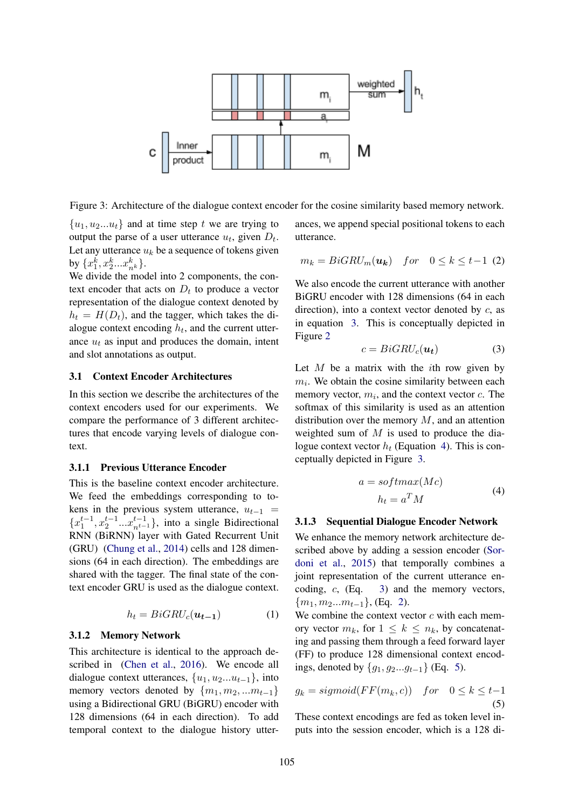

Figure 3: Architecture of the dialogue context encoder for the cosine similarity based memory network.

 ${u_1, u_2...u_t}$  and at time step t we are trying to output the parse of a user utterance  $u_t$ , given  $D_t$ . Let any utterance  $u_k$  be a sequence of tokens given by  $\{x_1^k, x_2^k...x_{n^k}^k\}.$ 

We divide the model into 2 components, the context encoder that acts on  $D_t$  to produce a vector representation of the dialogue context denoted by  $h_t = H(D_t)$ , and the tagger, which takes the dialogue context encoding  $h_t$ , and the current utterance  $u_t$  as input and produces the domain, intent and slot annotations as output.

#### 3.1 Context Encoder Architectures

In this section we describe the architectures of the context encoders used for our experiments. We compare the performance of 3 different architectures that encode varying levels of dialogue context.

#### 3.1.1 Previous Utterance Encoder

This is the baseline context encoder architecture. We feed the embeddings corresponding to tokens in the previous system utterance,  $u_{t-1}$  =  ${x_1^{t-1}, x_2^{t-1}...x_{n^{t-1}}^{t-1}}$ , into a single Bidirectional RNN (BiRNN) layer with Gated Recurrent Unit (GRU) (Chung et al., 2014) cells and 128 dimensions (64 in each direction). The embeddings are shared with the tagger. The final state of the context encoder GRU is used as the dialogue context.

$$
h_t = BiGRU_c(\boldsymbol{u_{t-1}}) \tag{1}
$$

#### 3.1.2 Memory Network

This architecture is identical to the approach described in (Chen et al., 2016). We encode all dialogue context utterances,  $\{u_1, u_2...u_{t-1}\}$ , into memory vectors denoted by  $\{m_1, m_2, ... m_{t-1}\}$ using a Bidirectional GRU (BiGRU) encoder with 128 dimensions (64 in each direction). To add temporal context to the dialogue history utterances, we append special positional tokens to each utterance.

$$
m_k = BiGRU_m(\mathbf{u_k}) \quad for \quad 0 \le k \le t-1 \tag{2}
$$

We also encode the current utterance with another BiGRU encoder with 128 dimensions (64 in each direction), into a context vector denoted by  $c$ , as in equation 3. This is conceptually depicted in Figure 2

$$
c = BiGRU_c(\boldsymbol{u_t})\tag{3}
$$

Let  $M$  be a matrix with the *i*th row given by  $m<sub>i</sub>$ . We obtain the cosine similarity between each memory vector,  $m_i$ , and the context vector  $c$ . The softmax of this similarity is used as an attention distribution over the memory  $M$ , and an attention weighted sum of  $M$  is used to produce the dialogue context vector  $h_t$  (Equation 4). This is conceptually depicted in Figure 3.

$$
a = softmax(Mc)
$$
  

$$
h_t = a^T M
$$
 (4)

### 3.1.3 Sequential Dialogue Encoder Network

We enhance the memory network architecture described above by adding a session encoder (Sordoni et al., 2015) that temporally combines a joint representation of the current utterance encoding,  $c$ ,  $(Eq. 3)$  and the memory vectors,  ${m_1, m_2...m_{t-1}}$ , (Eq. 2).

We combine the context vector  $c$  with each memory vector  $m_k$ , for  $1 \leq k \leq n_k$ , by concatenating and passing them through a feed forward layer (FF) to produce 128 dimensional context encodings, denoted by  $\{q_1, q_2...q_{t-1}\}$  (Eq. 5).

$$
g_k = sigmoid(FF(m_k, c)) \quad for \quad 0 \le k \le t-1
$$
\n(5)

These context encodings are fed as token level inputs into the session encoder, which is a 128 di-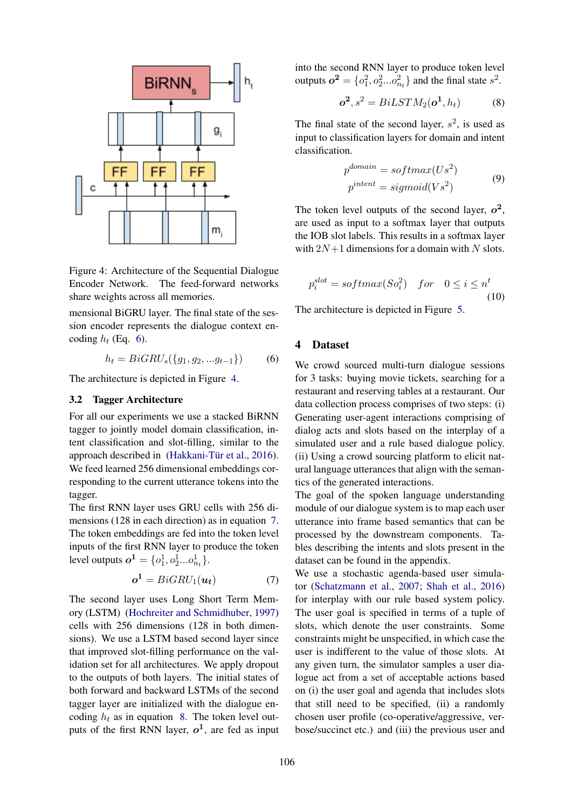

Figure 4: Architecture of the Sequential Dialogue Encoder Network. The feed-forward networks share weights across all memories.

mensional BiGRU layer. The final state of the session encoder represents the dialogue context encoding  $h_t$  (Eq. 6).

$$
h_t = BiGRU_s(\{g_1, g_2, ... g_{t-1}\})
$$
 (6)

The architecture is depicted in Figure 4.

#### 3.2 Tagger Architecture

For all our experiments we use a stacked BiRNN tagger to jointly model domain classification, intent classification and slot-filling, similar to the approach described in  $(Hakkani-Tür et al., 2016)$ . We feed learned 256 dimensional embeddings corresponding to the current utterance tokens into the tagger.

The first RNN layer uses GRU cells with 256 dimensions (128 in each direction) as in equation 7. The token embeddings are fed into the token level inputs of the first RNN layer to produce the token level outputs  $o^1 = \{o_1^1, o_2^1...o_{n_t}^1\}.$ 

$$
o^1 = BiGRU_1(u_t) \tag{7}
$$

The second layer uses Long Short Term Memory (LSTM) (Hochreiter and Schmidhuber, 1997) cells with 256 dimensions (128 in both dimensions). We use a LSTM based second layer since that improved slot-filling performance on the validation set for all architectures. We apply dropout to the outputs of both layers. The initial states of both forward and backward LSTMs of the second tagger layer are initialized with the dialogue encoding  $h_t$  as in equation 8. The token level outputs of the first RNN layer,  $o^1$ , are fed as input

into the second RNN layer to produce token level outputs  $o^2 = \{o_1^2, o_2^2...o_{n_t}^2\}$  and the final state  $s^2$ .

$$
\boldsymbol{o}^2, s^2 = BiLSTM_2(\boldsymbol{o}^1, h_t) \tag{8}
$$

The final state of the second layer,  $s^2$ , is used as input to classification layers for domain and intent classification.

$$
p^{domain} = softmax(Us^{2})
$$
  
\n
$$
p^{intent} = sigmoid(Vs^{2})
$$
\n(9)

The token level outputs of the second layer,  $o^2$ , are used as input to a softmax layer that outputs the IOB slot labels. This results in a softmax layer with  $2N+1$  dimensions for a domain with N slots.

$$
p_i^{slot} = softmax(So_i^2) \quad for \quad 0 \le i \le n^t
$$
\n
$$
(10)
$$

The architecture is depicted in Figure 5.

#### 4 Dataset

We crowd sourced multi-turn dialogue sessions for 3 tasks: buying movie tickets, searching for a restaurant and reserving tables at a restaurant. Our data collection process comprises of two steps: (i) Generating user-agent interactions comprising of dialog acts and slots based on the interplay of a simulated user and a rule based dialogue policy. (ii) Using a crowd sourcing platform to elicit natural language utterances that align with the semantics of the generated interactions.

The goal of the spoken language understanding module of our dialogue system is to map each user utterance into frame based semantics that can be processed by the downstream components. Tables describing the intents and slots present in the dataset can be found in the appendix.

We use a stochastic agenda-based user simulator (Schatzmann et al., 2007; Shah et al., 2016) for interplay with our rule based system policy. The user goal is specified in terms of a tuple of slots, which denote the user constraints. Some constraints might be unspecified, in which case the user is indifferent to the value of those slots. At any given turn, the simulator samples a user dialogue act from a set of acceptable actions based on (i) the user goal and agenda that includes slots that still need to be specified, (ii) a randomly chosen user profile (co-operative/aggressive, verbose/succinct etc.) and (iii) the previous user and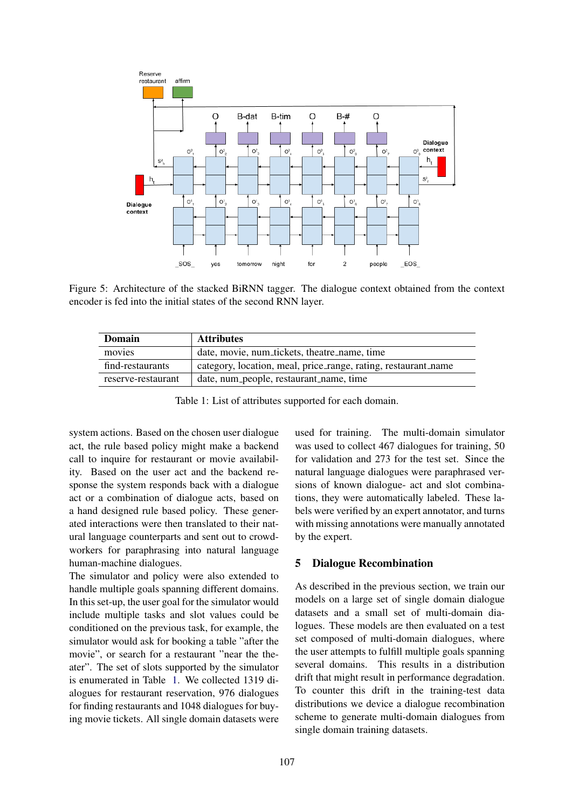

Figure 5: Architecture of the stacked BiRNN tagger. The dialogue context obtained from the context encoder is fed into the initial states of the second RNN layer.

| Domain             | <b>Attributes</b>                                              |
|--------------------|----------------------------------------------------------------|
| movies             | date, movie, num_tickets, theatre_name, time                   |
| find-restaurants   | category, location, meal, price_range, rating, restaurant_name |
| reserve-restaurant | date, num_people, restaurant_name, time                        |

Table 1: List of attributes supported for each domain.

system actions. Based on the chosen user dialogue act, the rule based policy might make a backend call to inquire for restaurant or movie availability. Based on the user act and the backend response the system responds back with a dialogue act or a combination of dialogue acts, based on a hand designed rule based policy. These generated interactions were then translated to their natural language counterparts and sent out to crowdworkers for paraphrasing into natural language human-machine dialogues.

The simulator and policy were also extended to handle multiple goals spanning different domains. In this set-up, the user goal for the simulator would include multiple tasks and slot values could be conditioned on the previous task, for example, the simulator would ask for booking a table "after the movie", or search for a restaurant "near the theater". The set of slots supported by the simulator is enumerated in Table 1. We collected 1319 dialogues for restaurant reservation, 976 dialogues for finding restaurants and 1048 dialogues for buying movie tickets. All single domain datasets were used for training. The multi-domain simulator was used to collect 467 dialogues for training, 50 for validation and 273 for the test set. Since the natural language dialogues were paraphrased versions of known dialogue- act and slot combinations, they were automatically labeled. These labels were verified by an expert annotator, and turns with missing annotations were manually annotated by the expert.

### 5 Dialogue Recombination

As described in the previous section, we train our models on a large set of single domain dialogue datasets and a small set of multi-domain dialogues. These models are then evaluated on a test set composed of multi-domain dialogues, where the user attempts to fulfill multiple goals spanning several domains. This results in a distribution drift that might result in performance degradation. To counter this drift in the training-test data distributions we device a dialogue recombination scheme to generate multi-domain dialogues from single domain training datasets.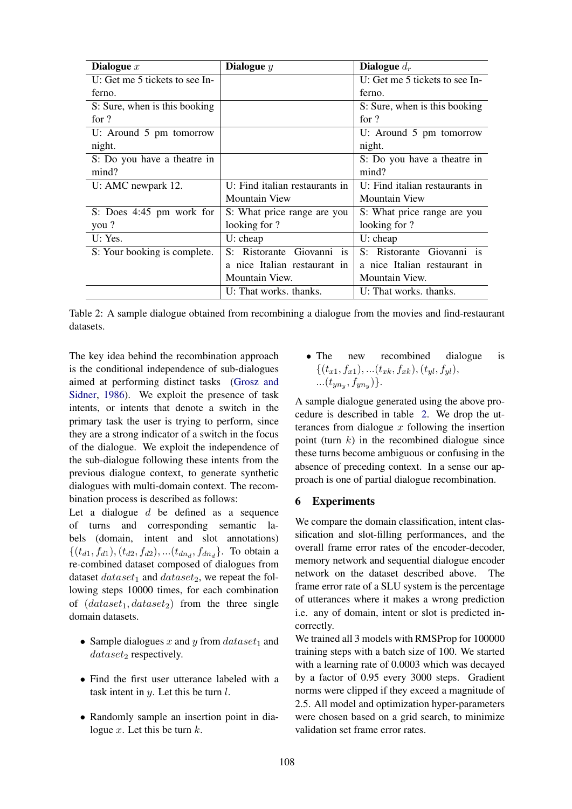| Dialogue $x$                     | Dialogue $y$                   | Dialogue $d_r$                   |
|----------------------------------|--------------------------------|----------------------------------|
| U: Get me $5$ tickets to see In- |                                | U: Get me $5$ tickets to see In- |
| ferno.                           |                                | ferno.                           |
| S: Sure, when is this booking    |                                | S: Sure, when is this booking    |
| for $?$                          |                                | for $?$                          |
| U: Around 5 pm tomorrow          |                                | U: Around 5 pm tomorrow          |
| night.                           |                                | night.                           |
| S: Do you have a theatre in      |                                | S: Do you have a theatre in      |
| mind?                            |                                | mind?                            |
| U: AMC newpark 12.               | U: Find italian restaurants in | U: Find italian restaurants in   |
|                                  | <b>Mountain View</b>           | <b>Mountain View</b>             |
| S: Does $4:45$ pm work for       | S: What price range are you    | S: What price range are you      |
| you?                             | looking for ?                  | looking for ?                    |
| U: Yes.                          | $U:$ cheap                     | $U:$ cheap                       |
| S: Your booking is complete.     | S: Ristorante Giovanni is      | S: Ristorante Giovanni is        |
|                                  | a nice Italian restaurant in   | a nice Italian restaurant in     |
|                                  | Mountain View.                 | Mountain View.                   |
|                                  | U: That works, thanks.         | U: That works, thanks.           |

Table 2: A sample dialogue obtained from recombining a dialogue from the movies and find-restaurant datasets.

The key idea behind the recombination approach is the conditional independence of sub-dialogues aimed at performing distinct tasks (Grosz and Sidner, 1986). We exploit the presence of task intents, or intents that denote a switch in the primary task the user is trying to perform, since they are a strong indicator of a switch in the focus of the dialogue. We exploit the independence of the sub-dialogue following these intents from the previous dialogue context, to generate synthetic dialogues with multi-domain context. The recombination process is described as follows:

Let a dialogue  $d$  be defined as a sequence of turns and corresponding semantic labels (domain, intent and slot annotations)  $\{(t_{d1}, f_{d1}), (t_{d2}, f_{d2}), \ldots (t_{dn_d}, f_{dn_d})\}$ . To obtain a re-combined dataset composed of dialogues from dataset  $dataset_1$  and  $dataset_2$ , we repeat the following steps 10000 times, for each combination of  $(dataset_1, dataset_2)$  from the three single domain datasets.

- Sample dialogues x and y from  $dataset_1$  and  $dataset_2$  respectively.
- Find the first user utterance labeled with a task intent in  $y$ . Let this be turn  $l$ .
- Randomly sample an insertion point in dialogue  $x$ . Let this be turn  $k$ .

• The new recombined dialogue is  $\{(t_{x1}, f_{x1}), ...(t_{xk}, f_{xk}), (t_{yl}, f_{yl}),$ ... $(t_{yn_y}, f_{yn_y})\}.$ 

A sample dialogue generated using the above procedure is described in table 2. We drop the utterances from dialogue  $x$  following the insertion point (turn  $k$ ) in the recombined dialogue since these turns become ambiguous or confusing in the absence of preceding context. In a sense our approach is one of partial dialogue recombination.

### 6 Experiments

We compare the domain classification, intent classification and slot-filling performances, and the overall frame error rates of the encoder-decoder, memory network and sequential dialogue encoder network on the dataset described above. The frame error rate of a SLU system is the percentage of utterances where it makes a wrong prediction i.e. any of domain, intent or slot is predicted incorrectly.

We trained all 3 models with RMSProp for 100000 training steps with a batch size of 100. We started with a learning rate of 0.0003 which was decayed by a factor of 0.95 every 3000 steps. Gradient norms were clipped if they exceed a magnitude of 2.5. All model and optimization hyper-parameters were chosen based on a grid search, to minimize validation set frame error rates.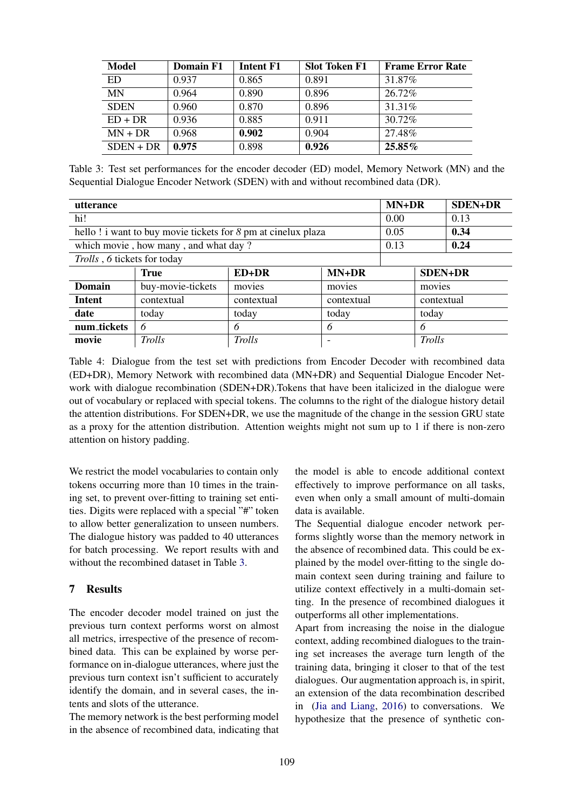| <b>Model</b> | Domain F1 | Intent F1 | <b>Slot Token F1</b> | <b>Frame Error Rate</b> |
|--------------|-----------|-----------|----------------------|-------------------------|
| ED           | 0.937     | 0.865     | 0.891                | 31.87\%                 |
| <b>MN</b>    | 0.964     | 0.890     | 0.896                | 26.72%                  |
| <b>SDEN</b>  | 0.960     | 0.870     | 0.896                | 31.31%                  |
| $ED + DR$    | 0.936     | 0.885     | 0.911                | 30.72%                  |
| $MN + DR$    | 0.968     | 0.902     | 0.904                | 27.48%                  |
| $S$ DEN + DR | 0.975     | 0.898     | 0.926                | 25.85%                  |

Table 3: Test set performances for the encoder decoder (ED) model, Memory Network (MN) and the Sequential Dialogue Encoder Network (SDEN) with and without recombined data (DR).

| utterance                   |                                                              |            |                          |      | MN+DR          | <b>SDEN+DR</b> |
|-----------------------------|--------------------------------------------------------------|------------|--------------------------|------|----------------|----------------|
| hi!                         |                                                              |            |                          |      |                | 0.13           |
|                             | hello! i want to buy movie tickets for 8 pm at cinelux plaza |            |                          | 0.05 |                | 0.34           |
|                             | which movie, how many, and what day?                         |            |                          | 0.13 |                | 0.24           |
| Trolls, 6 tickets for today |                                                              |            |                          |      |                |                |
|                             | <b>True</b>                                                  | $ED+DR$    | $MN+DR$                  |      | <b>SDEN+DR</b> |                |
| <b>Domain</b>               | buy-movie-tickets                                            | movies     | movies                   |      | movies         |                |
| Intent                      | contextual                                                   | contextual | contextual<br>contextual |      |                |                |
| date                        | today                                                        | today      | today                    |      | today          |                |
| num_tickets                 | 6                                                            | 6          | 6                        |      | 6              |                |
| movie                       | Trolls                                                       | Trolls     |                          |      | Trolls         |                |

Table 4: Dialogue from the test set with predictions from Encoder Decoder with recombined data (ED+DR), Memory Network with recombined data (MN+DR) and Sequential Dialogue Encoder Network with dialogue recombination (SDEN+DR).Tokens that have been italicized in the dialogue were out of vocabulary or replaced with special tokens. The columns to the right of the dialogue history detail the attention distributions. For SDEN+DR, we use the magnitude of the change in the session GRU state as a proxy for the attention distribution. Attention weights might not sum up to 1 if there is non-zero attention on history padding.

We restrict the model vocabularies to contain only tokens occurring more than 10 times in the training set, to prevent over-fitting to training set entities. Digits were replaced with a special "#" token to allow better generalization to unseen numbers. The dialogue history was padded to 40 utterances for batch processing. We report results with and without the recombined dataset in Table 3.

### 7 Results

The encoder decoder model trained on just the previous turn context performs worst on almost all metrics, irrespective of the presence of recombined data. This can be explained by worse performance on in-dialogue utterances, where just the previous turn context isn't sufficient to accurately identify the domain, and in several cases, the intents and slots of the utterance.

The memory network is the best performing model in the absence of recombined data, indicating that the model is able to encode additional context effectively to improve performance on all tasks, even when only a small amount of multi-domain data is available.

The Sequential dialogue encoder network performs slightly worse than the memory network in the absence of recombined data. This could be explained by the model over-fitting to the single domain context seen during training and failure to utilize context effectively in a multi-domain setting. In the presence of recombined dialogues it outperforms all other implementations.

Apart from increasing the noise in the dialogue context, adding recombined dialogues to the training set increases the average turn length of the training data, bringing it closer to that of the test dialogues. Our augmentation approach is, in spirit, an extension of the data recombination described in (Jia and Liang, 2016) to conversations. We hypothesize that the presence of synthetic con-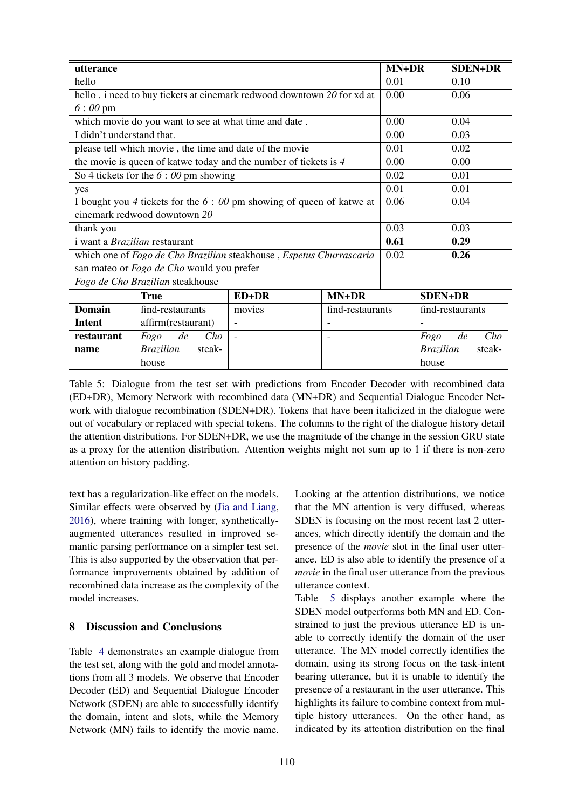| utterance                                                           |                                                         |                                                                        |                          |                | MN+DR<br><b>SDEN+DR</b>    |
|---------------------------------------------------------------------|---------------------------------------------------------|------------------------------------------------------------------------|--------------------------|----------------|----------------------------|
| hello                                                               |                                                         |                                                                        |                          |                | 0.10                       |
|                                                                     |                                                         | hello. i need to buy tickets at cinemark redwood downtown 20 for xd at |                          | 0.00           | 0.06                       |
| $6:00 \text{ pm}$                                                   |                                                         |                                                                        |                          |                |                            |
|                                                                     | which movie do you want to see at what time and date.   |                                                                        |                          | 0.00           | 0.04                       |
| I didn't understand that.                                           |                                                         |                                                                        |                          | 0.00           | 0.03                       |
|                                                                     | please tell which movie, the time and date of the movie |                                                                        |                          | 0.01           | 0.02                       |
|                                                                     |                                                         | the movie is queen of katwe today and the number of tickets is $4$     |                          | 0.00           | 0.00                       |
|                                                                     | So 4 tickets for the $6:00$ pm showing                  |                                                                        |                          | 0.02           | 0.01                       |
| yes                                                                 |                                                         |                                                                        |                          | 0.01           | 0.01                       |
|                                                                     |                                                         | I bought you 4 tickets for the $6: 00$ pm showing of queen of katwe at |                          | 0.06           | 0.04                       |
|                                                                     | cinemark redwood downtown 20                            |                                                                        |                          |                |                            |
| thank you                                                           |                                                         |                                                                        |                          |                | 0.03                       |
| i want a Brazilian restaurant                                       |                                                         |                                                                        |                          |                | 0.29                       |
| which one of Fogo de Cho Brazilian steakhouse, Espetus Churrascaria |                                                         |                                                                        |                          |                | 0.26                       |
|                                                                     | san mateo or Fogo de Cho would you prefer               |                                                                        |                          |                |                            |
| Fogo de Cho Brazilian steakhouse                                    |                                                         |                                                                        |                          |                |                            |
|                                                                     | MN+DR<br>ED+DR<br><b>True</b>                           |                                                                        |                          | <b>SDEN+DR</b> |                            |
| <b>Domain</b>                                                       | find-restaurants                                        | movies                                                                 | find-restaurants         |                | find-restaurants           |
| <b>Intent</b>                                                       | affirm(restaurant)                                      | $\blacksquare$                                                         |                          |                |                            |
| restaurant                                                          | Cho<br>de<br>Fogo                                       | $\blacksquare$                                                         | $\overline{\phantom{a}}$ |                | Cho<br>de<br>Fogo          |
| name                                                                | <b>Brazilian</b><br>steak-                              |                                                                        |                          |                | <b>Brazilian</b><br>steak- |
|                                                                     | house                                                   |                                                                        |                          |                | house                      |

Table 5: Dialogue from the test set with predictions from Encoder Decoder with recombined data (ED+DR), Memory Network with recombined data (MN+DR) and Sequential Dialogue Encoder Network with dialogue recombination (SDEN+DR). Tokens that have been italicized in the dialogue were out of vocabulary or replaced with special tokens. The columns to the right of the dialogue history detail the attention distributions. For SDEN+DR, we use the magnitude of the change in the session GRU state as a proxy for the attention distribution. Attention weights might not sum up to 1 if there is non-zero attention on history padding.

text has a regularization-like effect on the models. Similar effects were observed by (Jia and Liang, 2016), where training with longer, syntheticallyaugmented utterances resulted in improved semantic parsing performance on a simpler test set. This is also supported by the observation that performance improvements obtained by addition of recombined data increase as the complexity of the model increases.

## 8 Discussion and Conclusions

Table 4 demonstrates an example dialogue from the test set, along with the gold and model annotations from all 3 models. We observe that Encoder Decoder (ED) and Sequential Dialogue Encoder Network (SDEN) are able to successfully identify the domain, intent and slots, while the Memory Network (MN) fails to identify the movie name.

Looking at the attention distributions, we notice that the MN attention is very diffused, whereas SDEN is focusing on the most recent last 2 utterances, which directly identify the domain and the presence of the *movie* slot in the final user utterance. ED is also able to identify the presence of a *movie* in the final user utterance from the previous utterance context.

Table 5 displays another example where the SDEN model outperforms both MN and ED. Constrained to just the previous utterance ED is unable to correctly identify the domain of the user utterance. The MN model correctly identifies the domain, using its strong focus on the task-intent bearing utterance, but it is unable to identify the presence of a restaurant in the user utterance. This highlights its failure to combine context from multiple history utterances. On the other hand, as indicated by its attention distribution on the final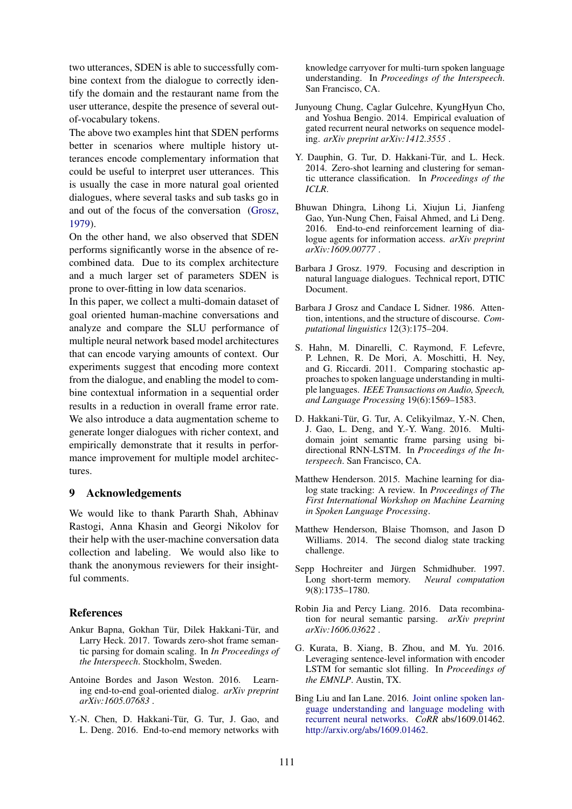two utterances, SDEN is able to successfully combine context from the dialogue to correctly identify the domain and the restaurant name from the user utterance, despite the presence of several outof-vocabulary tokens.

The above two examples hint that SDEN performs better in scenarios where multiple history utterances encode complementary information that could be useful to interpret user utterances. This is usually the case in more natural goal oriented dialogues, where several tasks and sub tasks go in and out of the focus of the conversation (Grosz, 1979).

On the other hand, we also observed that SDEN performs significantly worse in the absence of recombined data. Due to its complex architecture and a much larger set of parameters SDEN is prone to over-fitting in low data scenarios.

In this paper, we collect a multi-domain dataset of goal oriented human-machine conversations and analyze and compare the SLU performance of multiple neural network based model architectures that can encode varying amounts of context. Our experiments suggest that encoding more context from the dialogue, and enabling the model to combine contextual information in a sequential order results in a reduction in overall frame error rate. We also introduce a data augmentation scheme to generate longer dialogues with richer context, and empirically demonstrate that it results in performance improvement for multiple model architectures.

#### 9 Acknowledgements

We would like to thank Pararth Shah, Abhinav Rastogi, Anna Khasin and Georgi Nikolov for their help with the user-machine conversation data collection and labeling. We would also like to thank the anonymous reviewers for their insightful comments.

#### References

- Ankur Bapna, Gokhan Tür, Dilek Hakkani-Tür, and Larry Heck. 2017. Towards zero-shot frame semantic parsing for domain scaling. In *In Proceedings of the Interspeech*. Stockholm, Sweden.
- Antoine Bordes and Jason Weston. 2016. Learning end-to-end goal-oriented dialog. *arXiv preprint arXiv:1605.07683* .
- Y.-N. Chen, D. Hakkani-Tür, G. Tur, J. Gao, and L. Deng. 2016. End-to-end memory networks with

knowledge carryover for multi-turn spoken language understanding. In *Proceedings of the Interspeech*. San Francisco, CA.

- Junyoung Chung, Caglar Gulcehre, KyungHyun Cho, and Yoshua Bengio. 2014. Empirical evaluation of gated recurrent neural networks on sequence modeling. *arXiv preprint arXiv:1412.3555* .
- Y. Dauphin, G. Tur, D. Hakkani-Tür, and L. Heck. 2014. Zero-shot learning and clustering for semantic utterance classification. In *Proceedings of the ICLR*.
- Bhuwan Dhingra, Lihong Li, Xiujun Li, Jianfeng Gao, Yun-Nung Chen, Faisal Ahmed, and Li Deng. 2016. End-to-end reinforcement learning of dialogue agents for information access. *arXiv preprint arXiv:1609.00777* .
- Barbara J Grosz. 1979. Focusing and description in natural language dialogues. Technical report, DTIC Document.
- Barbara J Grosz and Candace L Sidner. 1986. Attention, intentions, and the structure of discourse. *Computational linguistics* 12(3):175–204.
- S. Hahn, M. Dinarelli, C. Raymond, F. Lefevre, P. Lehnen, R. De Mori, A. Moschitti, H. Ney, and G. Riccardi. 2011. Comparing stochastic approaches to spoken language understanding in multiple languages. *IEEE Transactions on Audio, Speech, and Language Processing* 19(6):1569–1583.
- D. Hakkani-Tür, G. Tur, A. Celikyilmaz, Y.-N. Chen, J. Gao, L. Deng, and Y.-Y. Wang. 2016. Multidomain joint semantic frame parsing using bidirectional RNN-LSTM. In *Proceedings of the Interspeech*. San Francisco, CA.
- Matthew Henderson. 2015. Machine learning for dialog state tracking: A review. In *Proceedings of The First International Workshop on Machine Learning in Spoken Language Processing*.
- Matthew Henderson, Blaise Thomson, and Jason D Williams. 2014. The second dialog state tracking challenge.
- Sepp Hochreiter and Jürgen Schmidhuber. 1997. Long short-term memory. *Neural computation* 9(8):1735–1780.
- Robin Jia and Percy Liang. 2016. Data recombination for neural semantic parsing. *arXiv preprint arXiv:1606.03622* .
- G. Kurata, B. Xiang, B. Zhou, and M. Yu. 2016. Leveraging sentence-level information with encoder LSTM for semantic slot filling. In *Proceedings of the EMNLP*. Austin, TX.
- Bing Liu and Ian Lane. 2016. Joint online spoken language understanding and language modeling with recurrent neural networks. *CoRR* abs/1609.01462. http://arxiv.org/abs/1609.01462.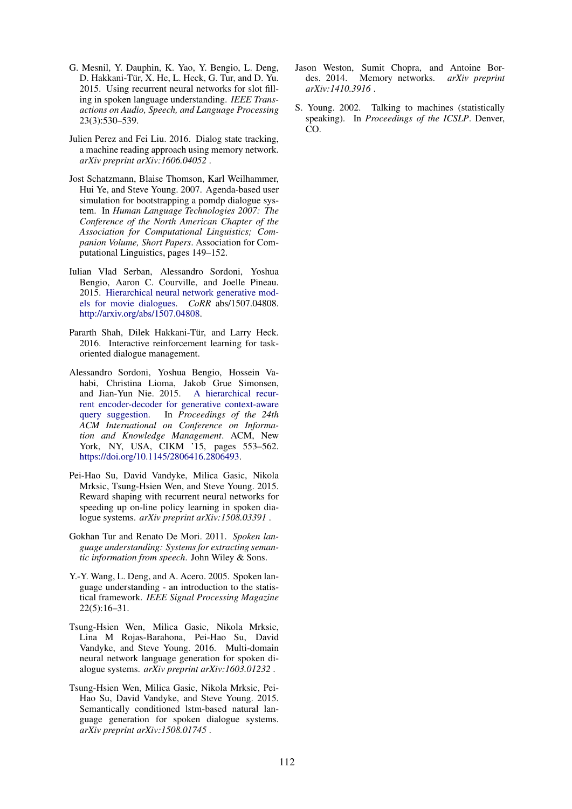- G. Mesnil, Y. Dauphin, K. Yao, Y. Bengio, L. Deng, D. Hakkani-Tür, X. He, L. Heck, G. Tur, and D. Yu. 2015. Using recurrent neural networks for slot filling in spoken language understanding. *IEEE Transactions on Audio, Speech, and Language Processing* 23(3):530–539.
- Julien Perez and Fei Liu. 2016. Dialog state tracking, a machine reading approach using memory network. *arXiv preprint arXiv:1606.04052* .
- Jost Schatzmann, Blaise Thomson, Karl Weilhammer, Hui Ye, and Steve Young. 2007. Agenda-based user simulation for bootstrapping a pomdp dialogue system. In *Human Language Technologies 2007: The Conference of the North American Chapter of the Association for Computational Linguistics; Companion Volume, Short Papers*. Association for Computational Linguistics, pages 149–152.
- Iulian Vlad Serban, Alessandro Sordoni, Yoshua Bengio, Aaron C. Courville, and Joelle Pineau. 2015. Hierarchical neural network generative models for movie dialogues. *CoRR* abs/1507.04808. http://arxiv.org/abs/1507.04808.
- Pararth Shah, Dilek Hakkani-Tür, and Larry Heck. 2016. Interactive reinforcement learning for taskoriented dialogue management.
- Alessandro Sordoni, Yoshua Bengio, Hossein Vahabi, Christina Lioma, Jakob Grue Simonsen, and Jian-Yun Nie. 2015. A hierarchical recurand Jian-Yun Nie. 2015. rent encoder-decoder for generative context-aware query suggestion. In *Proceedings of the 24th ACM International on Conference on Information and Knowledge Management*. ACM, New York, NY, USA, CIKM '15, pages 553-562. https://doi.org/10.1145/2806416.2806493.
- Pei-Hao Su, David Vandyke, Milica Gasic, Nikola Mrksic, Tsung-Hsien Wen, and Steve Young. 2015. Reward shaping with recurrent neural networks for speeding up on-line policy learning in spoken dialogue systems. *arXiv preprint arXiv:1508.03391* .
- Gokhan Tur and Renato De Mori. 2011. *Spoken language understanding: Systems for extracting semantic information from speech*. John Wiley & Sons.
- Y.-Y. Wang, L. Deng, and A. Acero. 2005. Spoken language understanding - an introduction to the statistical framework. *IEEE Signal Processing Magazine* 22(5):16–31.
- Tsung-Hsien Wen, Milica Gasic, Nikola Mrksic, Lina M Rojas-Barahona, Pei-Hao Su, David Vandyke, and Steve Young. 2016. Multi-domain neural network language generation for spoken dialogue systems. *arXiv preprint arXiv:1603.01232* .
- Tsung-Hsien Wen, Milica Gasic, Nikola Mrksic, Pei-Hao Su, David Vandyke, and Steve Young. 2015. Semantically conditioned lstm-based natural language generation for spoken dialogue systems. *arXiv preprint arXiv:1508.01745* .
- Jason Weston, Sumit Chopra, and Antoine Bordes. 2014. Memory networks. *arXiv preprint arXiv:1410.3916* .
- S. Young. 2002. Talking to machines (statistically speaking). In *Proceedings of the ICSLP*. Denver, CO.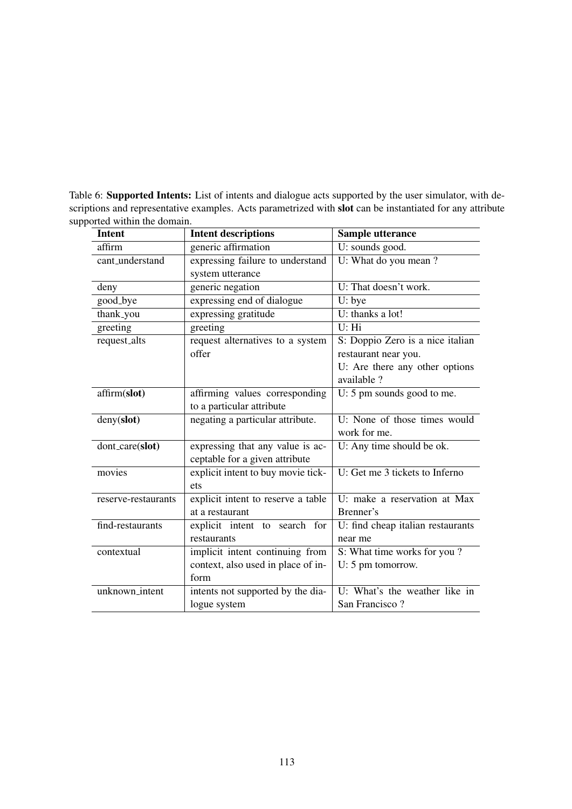Table 6: Supported Intents: List of intents and dialogue acts supported by the user simulator, with descriptions and representative examples. Acts parametrized with **slot** can be instantiated for any attribute supported within the domain.

| <b>Intent</b>       | <b>Intent descriptions</b>         | Sample utterance                  |
|---------------------|------------------------------------|-----------------------------------|
| affirm              | generic affirmation                | U: sounds good.                   |
| cant_understand     | expressing failure to understand   | U: What do you mean?              |
|                     | system utterance                   |                                   |
| deny                | generic negation                   | U: That doesn't work.             |
| good_bye            | expressing end of dialogue         | U: bye                            |
| thank_you           | expressing gratitude               | U: thanks a lot!                  |
| greeting            | greeting                           | U: Hi                             |
| request_alts        | request alternatives to a system   | S: Doppio Zero is a nice italian  |
|                     | offer                              | restaurant near you.              |
|                     |                                    | U: Are there any other options    |
|                     |                                    | available ?                       |
| affirm(slot)        | affirming values corresponding     | U: 5 pm sounds good to me.        |
|                     | to a particular attribute          |                                   |
| deny(slot)          | negating a particular attribute.   | U: None of those times would      |
|                     |                                    | work for me.                      |
| dont_care(slot)     | expressing that any value is ac-   | U: Any time should be ok.         |
|                     | ceptable for a given attribute     |                                   |
| movies              | explicit intent to buy movie tick- | U: Get me 3 tickets to Inferno    |
|                     | ets                                |                                   |
| reserve-restaurants | explicit intent to reserve a table | U: make a reservation at Max      |
|                     | at a restaurant                    | Brenner's                         |
| find-restaurants    | explicit intent to search for      | U: find cheap italian restaurants |
|                     | restaurants                        | near me                           |
| contextual          | implicit intent continuing from    | S: What time works for you?       |
|                     | context, also used in place of in- | U: 5 pm tomorrow.                 |
|                     | form                               |                                   |
| unknown_intent      | intents not supported by the dia-  | U: What's the weather like in     |
|                     | logue system                       | San Francisco?                    |